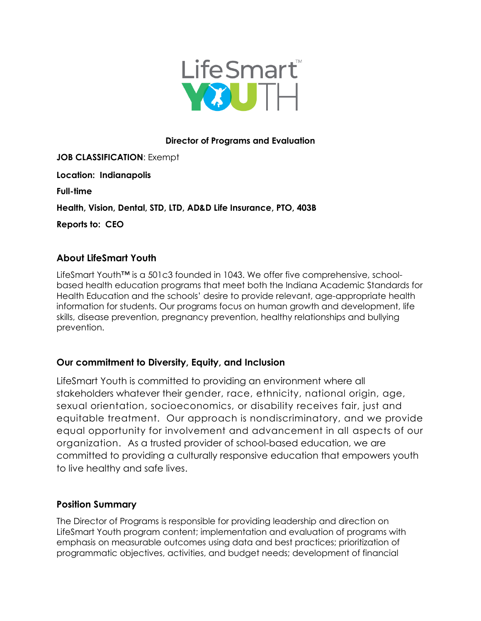

## **Director of Programs and Evaluation**

**JOB CLASSIFICATION**: Exempt **Location: Indianapolis Full-time Health, Vision, Dental, STD, LTD, AD&D Life Insurance, PTO, 403B Reports to: CEO**

# **About LifeSmart Youth**

LifeSmart Youth™ is a 501c3 founded in 1043. We offer five comprehensive, schoolbased health education programs that meet both the Indiana Academic Standards for Health Education and the schools' desire to provide relevant, age-appropriate health information for students. Our programs focus on [human growth and development,](https://lifesmartyouth.org/human-growth-and-development/) life skills, [disease prevention,](https://lifesmartyouth.org/human-growth-and-development/what-are-stds/) [pregnancy prevention,](https://lifesmartyouth.org/preventing-teen-pregnancy/) [healthy](https://lifesmartyouth.org/bullying-prevention/keeping-kids-safe/) relationships and [bullying](https://lifesmartyouth.org/bullying-prevention/)  [prevention.](https://lifesmartyouth.org/bullying-prevention/)

# **Our commitment to Diversity, Equity, and Inclusion**

LifeSmart Youth is committed to providing an environment where all stakeholders whatever their gender, race, ethnicity, national origin, age, sexual orientation, socioeconomics, or disability receives fair, just and equitable treatment. Our approach is nondiscriminatory, and we provide equal opportunity for involvement and advancement in all aspects of our organization. As a trusted provider of school-based education, we are committed to providing a culturally responsive education that empowers youth to live healthy and safe lives.

# **Position Summary**

The Director of Programs is responsible for providing leadership and direction on LifeSmart Youth program content; implementation and evaluation of programs with emphasis on measurable outcomes using data and best practices; prioritization of programmatic objectives, activities, and budget needs; development of financial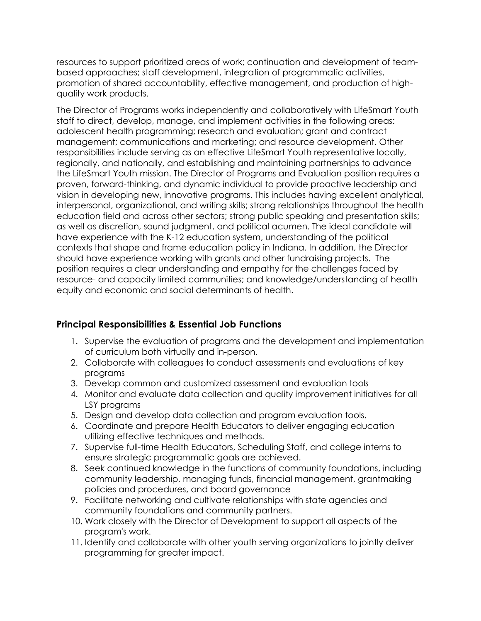resources to support prioritized areas of work; continuation and development of teambased approaches; staff development, integration of programmatic activities, promotion of shared accountability, effective management, and production of highquality work products.

The Director of Programs works independently and collaboratively with LifeSmart Youth staff to direct, develop, manage, and implement activities in the following areas: adolescent health programming; research and evaluation; grant and contract management; communications and marketing; and resource development. Other responsibilities include serving as an effective LifeSmart Youth representative locally, regionally, and nationally, and establishing and maintaining partnerships to advance the LifeSmart Youth mission. The Director of Programs and Evaluation position requires a proven, forward-thinking, and dynamic individual to provide proactive leadership and vision in developing new, innovative programs. This includes having excellent analytical, interpersonal, organizational, and writing skills; strong relationships throughout the health education field and across other sectors; strong public speaking and presentation skills; as well as discretion, sound judgment, and political acumen. The ideal candidate will have experience with the K-12 education system, understanding of the political contexts that shape and frame education policy in Indiana. In addition, the Director should have experience working with grants and other fundraising projects. The position requires a clear understanding and empathy for the challenges faced by resource- and capacity limited communities; and knowledge/understanding of health equity and economic and social determinants of health.

# **Principal Responsibilities & Essential Job Functions**

- 1. Supervise the evaluation of programs and the development and implementation of curriculum both virtually and in-person.
- 2. Collaborate with colleagues to conduct assessments and evaluations of key programs
- 3. Develop common and customized assessment and evaluation tools
- 4. Monitor and evaluate data collection and quality improvement initiatives for all LSY programs
- 5. Design and develop data collection and program evaluation tools.
- 6. Coordinate and prepare Health Educators to deliver engaging education utilizing effective techniques and methods.
- 7. Supervise full-time Health Educators, Scheduling Staff, and college interns to ensure strategic programmatic goals are achieved.
- 8. Seek continued knowledge in the functions of community foundations, including community leadership, managing funds, financial management, grantmaking policies and procedures, and board governance
- 9. Facilitate networking and cultivate relationships with state agencies and community foundations and community partners.
- 10. Work closely with the Director of Development to support all aspects of the program's work.
- 11. Identify and collaborate with other youth serving organizations to jointly deliver programming for greater impact.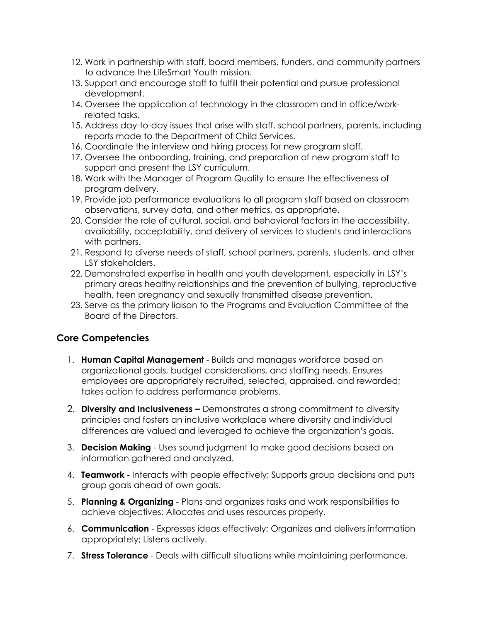- 12. Work in partnership with staff, board members, funders, and community partners to advance the LifeSmart Youth mission.
- 13. Support and encourage staff to fulfill their potential and pursue professional development.
- 14. Oversee the application of technology in the classroom and in office/workrelated tasks.
- 15. Address day-to-day issues that arise with staff, school partners, parents, including reports made to the Department of Child Services.
- 16. Coordinate the interview and hiring process for new program staff.
- 17. Oversee the onboarding, training, and preparation of new program staff to support and present the LSY curriculum.
- 18. Work with the Manager of Program Quality to ensure the effectiveness of program delivery.
- 19. Provide job performance evaluations to all program staff based on classroom observations, survey data, and other metrics, as appropriate.
- 20. Consider the role of cultural, social, and behavioral factors in the accessibility, availability, acceptability, and delivery of services to students and interactions with partners.
- 21. Respond to diverse needs of staff, school partners, parents, students, and other LSY stakeholders.
- 22. Demonstrated expertise in health and youth development, especially in LSY's primary areas healthy relationships and the prevention of bullying, reproductive health, teen pregnancy and sexually transmitted disease prevention.
- 23. Serve as the primary liaison to the Programs and Evaluation Committee of the Board of the Directors.

# **Core Competencies**

- 1. **Human Capital Management** Builds and manages workforce based on organizational goals, budget considerations, and staffing needs. Ensures employees are appropriately recruited, selected, appraised, and rewarded; takes action to address performance problems.
- 2. **Diversity and Inclusiveness –** Demonstrates a strong commitment to diversity principles and fosters an inclusive workplace where diversity and individual differences are valued and leveraged to achieve the organization's goals.
- 3. **Decision Making** Uses sound judgment to make good decisions based on information gathered and analyzed.
- 4. **Teamwork** Interacts with people effectively; Supports group decisions and puts group goals ahead of own goals.
- 5. **Planning & Organizing** Plans and organizes tasks and work responsibilities to achieve objectives; Allocates and uses resources properly.
- 6. **Communication** Expresses ideas effectively; Organizes and delivers information appropriately; Listens actively.
- 7. **Stress Tolerance** Deals with difficult situations while maintaining performance.